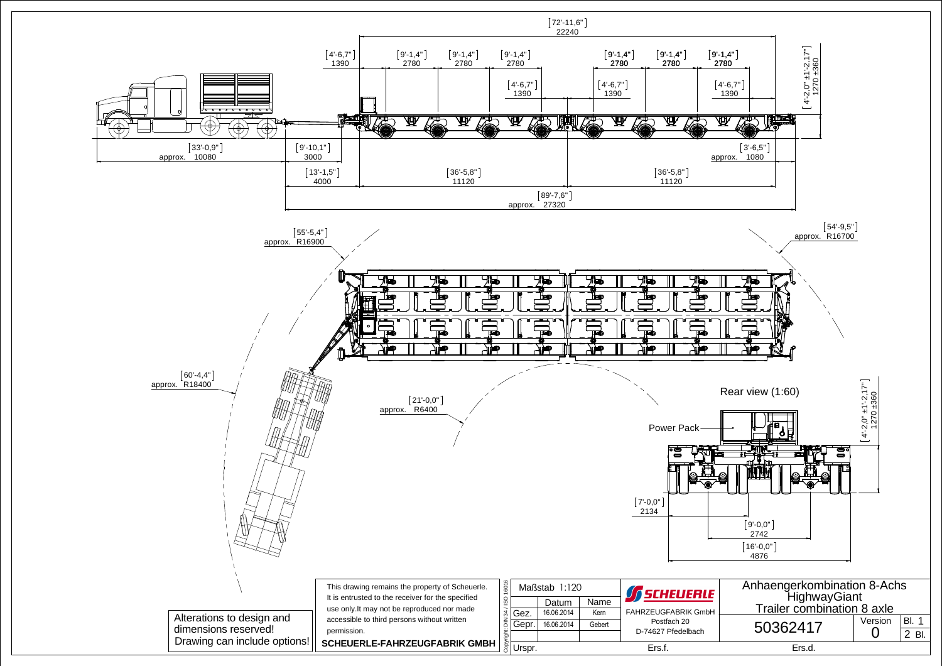